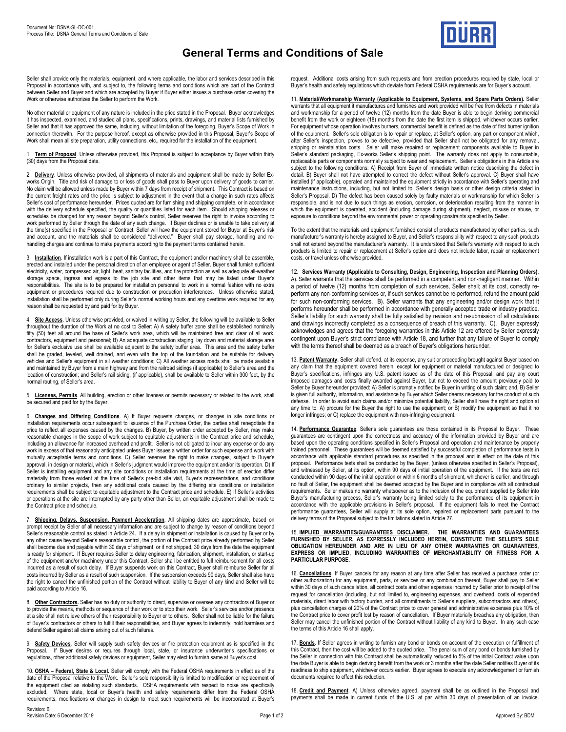

## **General Terms and Conditions of Sale**

Seller shall provide only the materials, equipment, and where applicable, the labor and services described in this Proposal in accordance with, and subject to, the following terms and conditions which are part of the Contract between Seller and Buyer and which are accepted by Buyer if Buyer either issues a purchase order covering the Work or otherwise authorizes the Seller to perform the Work.

No other material or equipment of any nature is included in the price stated in the Proposal. Buyer acknowledges it has inspected, examined, and studied all plans, specifications, prints, drawings, and material lists furnished by Seller and that it has approved the same, including, without limitation of the foregoing, Buyer's Scope of Work in connection therewith. For the purpose hereof, except as otherwise provided in this Proposal, Buyer's Scope of Work shall mean all site preparation, utility connections, etc., required for the installation of the equipment.

1. **Term of Proposal**. Unless otherwise provided, this Proposal is subject to acceptance by Buyer within thirty (30) days from the Proposal date.

2. **Delivery**. Unless otherwise provided, all shipments of materials and equipment shall be made by Seller Exworks Origin. Title and risk of damage to or loss of goods shall pass to Buyer upon delivery of goods to carrier.<br>No claim will be allowed unless made by Buyer within 7 days from receipt of shipment. This Contract is bas the current freight rates and the price is subject to adjustment in the event that a change in such rates affects Seller's cost of performance hereunder. Prices quoted are for furnishing and shipping complete, or in accordance with the delivery schedule specified, the quality or quantities listed for each item. Should shipping releases or schedules be changed for any reason beyond Seller's control, Seller reserves the right to invoice according to work performed by Seller through the date of any such change. If Buyer declines or is unable to take delivery at<br>the time(s) specified in the Proposal or Contract, Seller will have the equipment stored for Buyer at Buyer's and account, and the materials shall be considered "delivered." Buyer shall pay storage, handling and rehandling charges and continue to make payments according to the payment terms contained herein.

3. **Installation**. If installation work is a part of this Contract, the equipment and/or machinery shall be assemble, erected and installed under the personal direction of an employee or agent of Seller. Buyer shall furnish sufficient<br>electricity, water, compressed air, light, heat, sanitary facilities, and fire protection as well as adeq storage space, ingress and egress to the job site and other items that may be listed under Buyer's responsibilities. The site is to be prepared for installation personnel to work in a normal fashion with no extra equipment or procedures required due to construction or production interferences. Unless otherwise stated, installation shall be performed only during Seller's normal working hours and any overtime work required for any reason shall be requested by and paid for by Buyer.

4. **Site Access**. Unless otherwise provided, or waived in writing by Seller, the following will be available to Seller throughout the duration of the Work at no cost to Seller: A) A safety buffer zone shall be established nominally fifty (50) feet all around the base of Seller's work area, which will be maintained free and clear of all work, contractors, equipment and personnel; B) An adequate construction staging, lay down and material storage area for Seller's exclusive use shall be available adjacent to the safety buffer area. This area and the safety buffer shall be graded, leveled, well drained, and even with the top of the foundation and be suitable for delivery vehicles and Seller's equipment in all weather conditions; C) All weather access roads shall be made available and maintained by Buyer from a main highway and from the railroad sidings (if applicable) to Seller's area and the location of construction; and Seller's rail siding, (if applicable), shall be available to Seller within 300 feet, by the normal routing, of Seller's area.

5. **Licenses, Permits**. All building, erection or other licenses or permits necessary or related to the work, shall be secured and paid for by the Buyer.

6. **Changes and Differing Conditions**. A) If Buyer requests changes, or changes in site conditions or installation requirements occur subsequent to issuance of the Purchase Order, the parties shall renegotiate the price to reflect all expenses caused by the changes. B) Buyer, by written order accepted by Seller, may make reasonable changes in the scope of work subject to equitable adjustments in the Contract price and schedule, including an allowance for increased overhead and profit. Seller is not obligated to incur any expense or do any work in excess of that reasonably anticipated unless Buyer issues a written order for such expense and work with mutually acceptable terms and conditions. C) Seller reserves the right to make changes, subject to Buyer's approval, in design or material, which in Seller's judgment would improve the equipment and/or its operation. D) If Seller is installing equipment and any site conditions or installation requirements at the time of erection differ materially from those evident at the time of Seller's pre-bid site visit, Buyer's representations, and conditions ordinary to similar projects, then any additional costs caused by the differing site conditions or installation requirements shall be subject to equitable adjustment to the Contract price and schedule. E) If Seller's activities or operations at the site are interrupted by any party other than Seller, an equitable adjustment shall be made to the Contract price and schedule.

7. **Shipping, Delays, Suspension, Payment Acceleration**. All shipping dates are approximate, based on prompt receipt by Seller of all necessary information and are subject to change by reason of conditions beyond Seller's reasonable control as stated in Article 24. If a delay in shipment or installation is caused by Buyer or by<br>any other cause beyond Seller's reasonable control, the portion of the Contract price already performed b shall become due and payable within 30 days of shipment, or if not shipped, 30 days from the date the equipment is ready for shipment. If Buyer requires Seller to delay engineering, fabrication, shipment, installation, or start-up of the equipment and/or machinery under this Contract, Seller shall be entitled to full reimbursement for all costs incurred as a result of such delay. If Buyer suspends work on this Contract, Buyer shall reimburse Seller for all costs incurred by Seller as a result of such suspension. If the suspension exceeds 90 days, Seller shall also have<br>the right to cancel the unfinished portion of the Contract without liability to Buyer of any kind and Selle paid according to Article 16.

8. **Other Contractors.** Seller has no duty or authority to direct, supervise or oversee any contractors of Buyer or to provide the means, methods or sequence of their work or to stop their work. Seller's services and/or presence at a site shall not relieve others of their responsibility to Buyer or to others. Seller shall not be liable for the failure of Buyer's contractors or others to fulfill their responsibilities, and Buyer agrees to indemnify, hold harmless and defend Seller against all claims arising out of such failures.

9. **Safety Devices**. Seller will supply such safety devices or fire protection equipment as is specified in the Proposal. If Buyer desires or requires through local, state, or insurance underwriter's specifications or regulations, other additional safety devices or equipment, Seller may elect to furnish same at Buyer's cost.

10. **OSHA – Federal, State & Local.** Seller will comply with the Federal OSHA requirements in effect as of the date of the Proposal relative to the Work. Seller's sole responsibility is limited to modification or replacement of the equipment cited as violating such standards. OSHA requirements with respect to noise are specifically excluded. Where state, local or Buyer's health and safety requirements differ from the Federal OSHA requirements, modifications or changes in design to meet such requirements will be incorporated at Buyer's request. Additional costs arising from such requests and from erection procedures required by state, local or Buyer's health and safety regulations which deviate from Federal OSHA requirements are for Buyer's account.

11. **Material/Workmanship Warranty (Applicable to Equipment, Systems, and Spare Parts Orders).** Seller warrants that all equipment it manufactures and furnishes and work provided will be free from defects in materials and workmanship for a period of twelve (12) months from the date Buyer is able to begin deriving commercial benefit from the work or eighteen (18) months from the date the first item is shipped, whichever occurs earlier. For equipment whose operation involves burners, commercial benefit is defined as the date of first burner ignition of the equipment. Seller's sole obligation is to repair or replace, at Seller's option, any part or component which, after Seller's inspection, proves to be defective, provided that Seller shall not be obligated for any removal, shipping or reinstallation costs. Seller will make repaired or replacement components available to Buyer in Seller's standard packaging, Ex-works Seller's shipping point. The warranty does not apply to consumable, replaceable parts or components normally subject to wear and replacement. Seller's obligations in this Article are subject to the following conditions: A) Receipt from Buyer of immediate written notice describing the defect in detail. B) Buyer shall not have attempted to correct the defect without Seller's approval. C) Buyer shall have installed (if applicable), operated and maintained the equipment strictly in accordance with Seller's operating and<br>maintenance instructions, including, but not limited to, Seller's design basis or other design criteria st Seller's Proposal. D) The defect has been caused solely by faulty materials or workmanship for which Seller is responsible, and is not due to such things as erosion, corrosion, or deterioration resulting from the manner in which the equipment is operated, accident (including damage during shipment), neglect, misuse or abuse, or exposure to conditions beyond the environmental power or operating constraints specified by Seller.

To the extent that the materials and equipment furnished consist of products manufactured by other parties, such manufacturer's warranty is hereby assigned to Buyer, and Seller's responsibility with respect to any such products shall not extend beyond the manufacturer's warranty. It is understood that Seller's warranty with respect to such products is limited to repair or replacement at Seller's option and does not include labor, repair or replacement costs, or travel unless otherwise provided.

12. **Services Warranty (Applicable to Consulting, Design, Engineering, Inspection and Planning Orders).**  A). Seller warrants that the services shall be performed in a competent and non-negligent manner. Within a period of twelve (12) months from completion of such services, Seller shall; at its cost, correctly reperform any non-conforming services or, if such services cannot be re-performed, refund the amount paid for such non-conforming services. B). Seller warrants that any engineering and/or design work that it performs hereunder shall be performed in accordance with generally accepted trade or industry practice. Seller's liability for such warranty shall be fully satisfied by revision and resubmission of all calculations and drawings incorrectly completed as a consequence of breach of this warranty. C). Buyer expressly acknowledges and agrees that the foregoing warranties in this Article 12 are offered by Seller expressly contingent upon Buyer's strict compliance with Article 18, and further that any failure of Buyer to comply with the terms thereof shall be deemed as a breach of Buyer's obligations hereunder.

13. **Patent Warranty.** Seller shall defend, at its expense, any suit or proceeding brought against Buyer based on any claim that the equipment covered herein, except for equipment or material manufactured or designed to Buyer's specifications, infringes any U.S. patent issued as of the date of this Proposal, and pay any court imposed damages and costs finally awarded against Buyer, but not to exceed the amount previously paid to Seller by Buyer hereunder provided: A) Seller is promptly notified by Buyer in writing of such claim; and, B) Seller is given full authority, information, and assistance by Buyer which Seller deems necessary for the conduct of such defense. In order to avoid such claims and/or minimize potential liability, Seller shall have the right and option at<br>any time to: A) procure for the Buyer the right to use the equipment; or B) modify the equipment so that longer infringes; or C) replace the equipment with non-infringing equipment.

14. **Performance Guarantee**. Seller's sole guarantees are those contained in its Proposal to Buyer. These guarantees are contingent upon the correctness and accuracy of the information provided by Buyer and are based upon the operating conditions specified in Seller's Proposal and operation and maintenance by properly trained personnel. These guarantees will be deemed satisfied by successful completion of performance tests in accordance with applicable standard procedures as specified in the proposal and in effect on the date of this proposal. Performance tests shall be conducted by the Buyer, (unless otherwise specified in Seller's Proposal), and witnessed by Seller, at its option, within 90 days of initial operation of the equipment. If the tests are not conducted within 90 days of the initial operation or within 6 months of shipment, whichever is earlier, and through no fault of Seller, the equipment shall be deemed accepted by the Buyer and in compliance with all contractual requirements. Seller makes no warranty whatsoever as to the inclusion of the equipment supplied by Seller into Buyer's manufacturing process, Seller's warranty being limited solely to the performance of its equipment in accordance with the applicable provisions in Seller's proposal. If the equipment fails to meet the Contract performance guarantees, Seller will supply at its sole option, repaired or replacement parts pursuant to the delivery terms of the Proposal subject to the limitations stated in Article 27.

15. **IMPLIED WARRANTIES/GUARANTEES DISCLAIMER. THE WARRANTIES AND GUARANTEES FURNISHED BY SELLER, AS EXPRESSLY INCLUDED HEREIN, CONSTITUTE THE SELLER'S SOLE OBLIGATION HEREUNDER AND ARE IN LIEU OF ANY OTHER WARRANTIES OR GUARANTEES, EXPRESS OR IMPLIED, INCLUDING WARRANTIES OF MERCHANTABILITY OR FITNESS FOR A PARTICULAR PURPOSE.** 

16. **Cancellations**. If Buyer cancels for any reason at any time after Seller has received a purchase order (or other authorization) for any equipment, parts, or services or any combination thereof, Buyer shall pay to Seller within 30 days of such cancellation, all contract costs and other expenses incurred by Seller prior to receipt of the request for cancellation (including, but not limited to, engineering expenses, and overhead, costs of expended<br>materials, direct labor with factory burden, and all commitments to Seller's suppliers, subcontractors and othe plus cancellation charges of 20% of the Contract price to cover general and administrative expenses plus 10% of the Contract price to cover profit lost by reason of cancellation. If Buyer materially breaches any obligation, then Seller may cancel the unfinished portion of the Contract without liability of any kind to Buyer. In any such case the terms of this Article 16 shall apply.

 17. **Bonds.** If Seller agrees in writing to furnish any bond or bonds on account of the execution or fulfillment of this Contract, then the cost will be added to the quoted price. The penal sum of any bond or bonds furnished by the Seller in connection with this Contract shall be automatically reduced to 5% of the initial Contract value upon the date Buyer is able to begin deriving benefit from the work or 3 months after the date Seller notifies Buyer of its readiness to ship equipment, whichever occurs earlier. Buyer agrees to execute any acknowledgement or furnish documents required to effect this reduction.

 18. **Credit and Payment**. A) Unless otherwise agreed, payment shall be as outlined in the Proposal and payments shall be made in current funds of the U.S. at par within 30 days of presentation of an invoice.